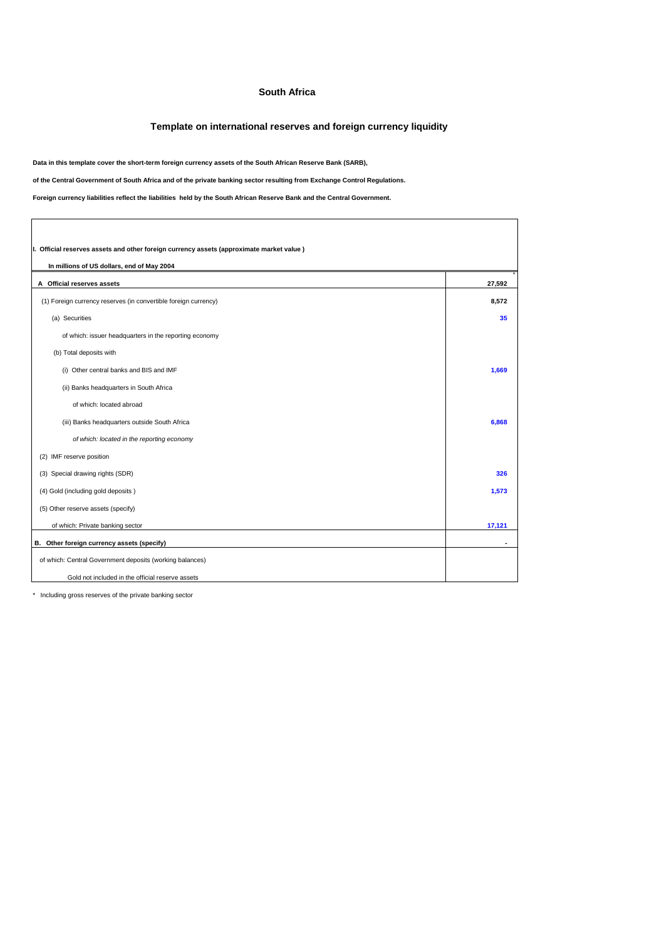## **South Africa**

## **Template on international reserves and foreign currency liquidity**

**Data in this template cover the short-term foreign currency assets of the South African Reserve Bank (SARB),** 

**of the Central Government of South Africa and of the private banking sector resulting from Exchange Control Regulations.**

**Foreign currency liabilities reflect the liabilities held by the South African Reserve Bank and the Central Government.**

| I. Official reserves assets and other foreign currency assets (approximate market value) |        |
|------------------------------------------------------------------------------------------|--------|
| In millions of US dollars, end of May 2004                                               |        |
| A Official reserves assets                                                               | 27,592 |
| (1) Foreign currency reserves (in convertible foreign currency)                          | 8,572  |
| (a) Securities                                                                           | 35     |
| of which: issuer headquarters in the reporting economy                                   |        |
| (b) Total deposits with                                                                  |        |
| (i) Other central banks and BIS and IMF                                                  | 1,669  |
| (ii) Banks headquarters in South Africa                                                  |        |
| of which: located abroad                                                                 |        |
| (iii) Banks headquarters outside South Africa                                            | 6,868  |
| of which: located in the reporting economy                                               |        |
| (2) IMF reserve position                                                                 |        |
| (3) Special drawing rights (SDR)                                                         | 326    |
| (4) Gold (including gold deposits)                                                       | 1,573  |
| (5) Other reserve assets (specify)                                                       |        |
| of which: Private banking sector                                                         | 17,121 |
| B. Other foreign currency assets (specify)                                               |        |
| of which: Central Government deposits (working balances)                                 |        |
| Gold not included in the official reserve assets                                         |        |

\* Including gross reserves of the private banking sector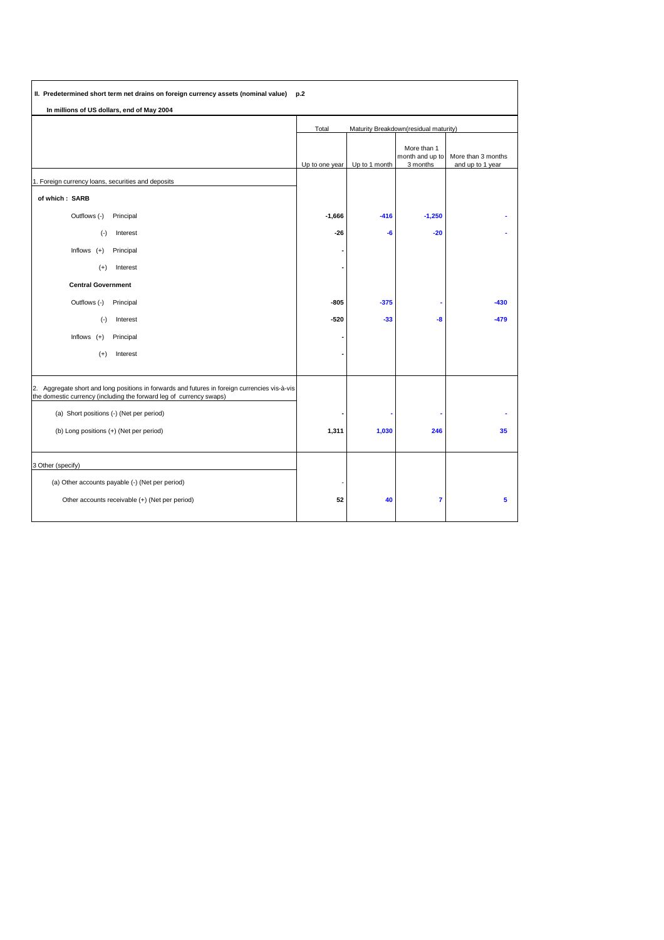| II. Predetermined short term net drains on foreign currency assets (nominal value) p.2                                                                               |                                                |               |                                            |                                        |
|----------------------------------------------------------------------------------------------------------------------------------------------------------------------|------------------------------------------------|---------------|--------------------------------------------|----------------------------------------|
| In millions of US dollars, end of May 2004                                                                                                                           |                                                |               |                                            |                                        |
|                                                                                                                                                                      | Total<br>Maturity Breakdown(residual maturity) |               |                                            |                                        |
|                                                                                                                                                                      | Up to one year                                 | Up to 1 month | More than 1<br>month and up to<br>3 months | More than 3 months<br>and up to 1 year |
| 1. Foreign currency loans, securities and deposits                                                                                                                   |                                                |               |                                            |                                        |
| of which: SARB                                                                                                                                                       |                                                |               |                                            |                                        |
| Outflows (-)<br>Principal                                                                                                                                            | $-1,666$                                       | $-416$        | $-1,250$                                   |                                        |
| $(\cdot)$<br>Interest                                                                                                                                                | $-26$                                          | -6            | $-20$                                      |                                        |
| Inflows $(+)$<br>Principal                                                                                                                                           |                                                |               |                                            |                                        |
| $(+)$<br>Interest                                                                                                                                                    |                                                |               |                                            |                                        |
| <b>Central Government</b>                                                                                                                                            |                                                |               |                                            |                                        |
| Outflows (-)<br>Principal                                                                                                                                            | $-805$                                         | $-375$        |                                            | $-430$                                 |
| $(-)$<br>Interest                                                                                                                                                    | $-520$                                         | $-33$         | -8                                         | $-479$                                 |
| Inflows $(+)$<br>Principal                                                                                                                                           |                                                |               |                                            |                                        |
| $(+)$<br>Interest                                                                                                                                                    |                                                |               |                                            |                                        |
| 2. Aggregate short and long positions in forwards and futures in foreign currencies vis-à-vis<br>the domestic currency (including the forward leg of currency swaps) |                                                |               |                                            |                                        |
| (a) Short positions (-) (Net per period)                                                                                                                             |                                                |               |                                            |                                        |
| (b) Long positions (+) (Net per period)                                                                                                                              | 1,311                                          | 1,030         | 246                                        | 35                                     |
| 3 Other (specify)                                                                                                                                                    |                                                |               |                                            |                                        |
| (a) Other accounts payable (-) (Net per period)                                                                                                                      |                                                |               |                                            |                                        |
| Other accounts receivable (+) (Net per period)                                                                                                                       | 52                                             | 40            | 7                                          | 5                                      |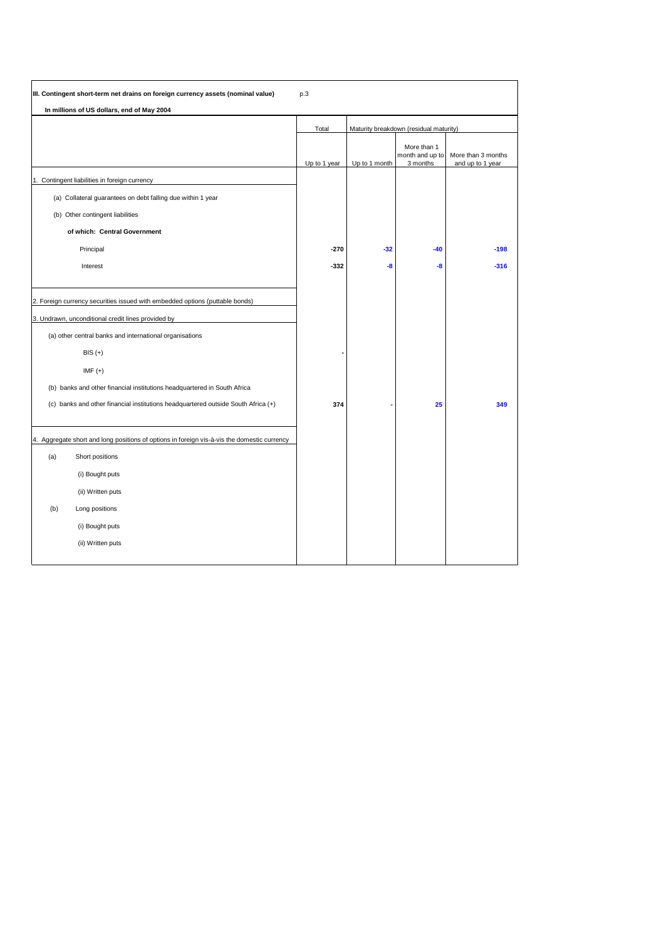|     | In millions of US dollars, end of May 2004                                                  |              |               |                                            |                                        |
|-----|---------------------------------------------------------------------------------------------|--------------|---------------|--------------------------------------------|----------------------------------------|
|     |                                                                                             | Total        |               | Maturity breakdown (residual maturity)     |                                        |
|     |                                                                                             | Up to 1 year | Up to 1 month | More than 1<br>month and up to<br>3 months | More than 3 months<br>and up to 1 year |
|     | 1. Contingent liabilities in foreign currency                                               |              |               |                                            |                                        |
|     | (a) Collateral guarantees on debt falling due within 1 year                                 |              |               |                                            |                                        |
|     | (b) Other contingent liabilities                                                            |              |               |                                            |                                        |
|     | of which: Central Government                                                                |              |               |                                            |                                        |
|     | Principal                                                                                   | $-270$       | $-32$         | $-40$                                      | $-198$                                 |
|     | Interest                                                                                    | $-332$       | -8            | -8                                         | $-316$                                 |
|     | 2. Foreign currency securities issued with embedded options (puttable bonds)                |              |               |                                            |                                        |
|     | 3. Undrawn, unconditional credit lines provided by                                          |              |               |                                            |                                        |
|     | (a) other central banks and international organisations                                     |              |               |                                            |                                        |
|     | $BIS (+)$                                                                                   |              |               |                                            |                                        |
|     | IMF $(+)$                                                                                   |              |               |                                            |                                        |
|     | (b) banks and other financial institutions headquartered in South Africa                    |              |               |                                            |                                        |
|     | (c) banks and other financial institutions headquartered outside South Africa (+)           | 374          |               | 25                                         | 349                                    |
|     | 4. Aggregate short and long positions of options in foreign vis-à-vis the domestic currency |              |               |                                            |                                        |
| (a) | Short positions                                                                             |              |               |                                            |                                        |
|     | (i) Bought puts                                                                             |              |               |                                            |                                        |
|     | (ii) Written puts                                                                           |              |               |                                            |                                        |
| (b) | Long positions                                                                              |              |               |                                            |                                        |
|     | (i) Bought puts                                                                             |              |               |                                            |                                        |
|     | (ii) Written puts                                                                           |              |               |                                            |                                        |
|     |                                                                                             |              |               |                                            |                                        |